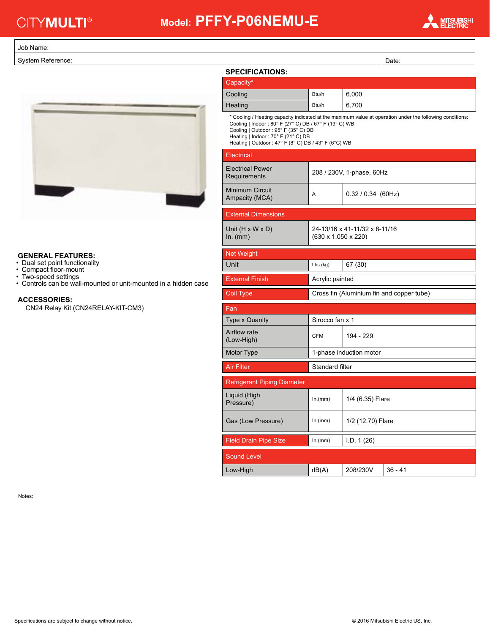# **CITYMULTI<sup>®</sup>**

## **Model: PFFY-P06NEMU-E**



#### Job Name:

System Reference:



### **GENERAL FEATURES:**

- Dual set point functionality
- Compact floor-mount
- Two-speed settings
- Controls can be wall-mounted or unit-mounted in a hidden case

#### **ACCESSORIES:**

CN24 Relay Kit (CN24RELAY-KIT-CM3)

|                                                                                                                                                                                                                                                                                                       | Date:                                                            |                           |                                           |
|-------------------------------------------------------------------------------------------------------------------------------------------------------------------------------------------------------------------------------------------------------------------------------------------------------|------------------------------------------------------------------|---------------------------|-------------------------------------------|
| <b>SPECIFICATIONS:</b>                                                                                                                                                                                                                                                                                |                                                                  |                           |                                           |
| Capacity*                                                                                                                                                                                                                                                                                             |                                                                  |                           |                                           |
| Cooling                                                                                                                                                                                                                                                                                               | Btu/h                                                            | 6,000                     |                                           |
| Heating                                                                                                                                                                                                                                                                                               | Btu/h                                                            | 6,700                     |                                           |
| * Cooling / Heating capacity indicated at the maximum value at operation under the following conditions:<br>Cooling   Indoor: 80° F (27° C) DB / 67° F (19° C) WB<br>Cooling   Outdoor: 95° F (35° C) DB<br>Heating   Indoor: 70° F (21° C) DB<br>Heating   Outdoor: 47° F (8° C) DB / 43° F (6°C) WB |                                                                  |                           |                                           |
| Electrical                                                                                                                                                                                                                                                                                            |                                                                  |                           |                                           |
| <b>Electrical Power</b><br>Requirements                                                                                                                                                                                                                                                               |                                                                  | 208 / 230V, 1-phase, 60Hz |                                           |
| Minimum Circuit<br>Ampacity (MCA)                                                                                                                                                                                                                                                                     | A                                                                | $0.32 / 0.34$ (60Hz)      |                                           |
| <b>External Dimensions</b>                                                                                                                                                                                                                                                                            |                                                                  |                           |                                           |
| Unit $(H \times W \times D)$<br>$In.$ (mm)                                                                                                                                                                                                                                                            | 24-13/16 x 41-11/32 x 8-11/16<br>$(630 \times 1,050 \times 220)$ |                           |                                           |
| <b>Net Weight</b>                                                                                                                                                                                                                                                                                     |                                                                  |                           |                                           |
| Unit                                                                                                                                                                                                                                                                                                  | Lbs.(kg)                                                         | 67 (30)                   |                                           |
|                                                                                                                                                                                                                                                                                                       | Acrylic painted                                                  |                           |                                           |
| <b>External Finish</b>                                                                                                                                                                                                                                                                                |                                                                  |                           |                                           |
| Coil Type                                                                                                                                                                                                                                                                                             |                                                                  |                           | Cross fin (Aluminium fin and copper tube) |
| Fan                                                                                                                                                                                                                                                                                                   |                                                                  |                           |                                           |
| <b>Type x Quanity</b>                                                                                                                                                                                                                                                                                 | Sirocco fan x 1                                                  |                           |                                           |
| Airflow rate<br>(Low-High)                                                                                                                                                                                                                                                                            | <b>CFM</b>                                                       | 194 - 229                 |                                           |
| Motor Type                                                                                                                                                                                                                                                                                            |                                                                  | 1-phase induction motor   |                                           |
| <b>Air Filter</b>                                                                                                                                                                                                                                                                                     | Standard filter                                                  |                           |                                           |
| <b>Refrigerant Piping Diameter</b>                                                                                                                                                                                                                                                                    |                                                                  |                           |                                           |
| Liquid (High<br>Pressure)                                                                                                                                                                                                                                                                             | ln.(mm)                                                          | 1/4 (6.35) Flare          |                                           |
| Gas (Low Pressure)                                                                                                                                                                                                                                                                                    | In.(mm)                                                          | 1/2 (12.70) Flare         |                                           |
| <b>Field Drain Pipe Size</b>                                                                                                                                                                                                                                                                          | ln.(mm)                                                          | I.D. 1 (26)               |                                           |
| Sound Level                                                                                                                                                                                                                                                                                           |                                                                  |                           |                                           |
| Low-High                                                                                                                                                                                                                                                                                              | dB(A)                                                            | 208/230V                  | $36 - 41$                                 |

Notes: